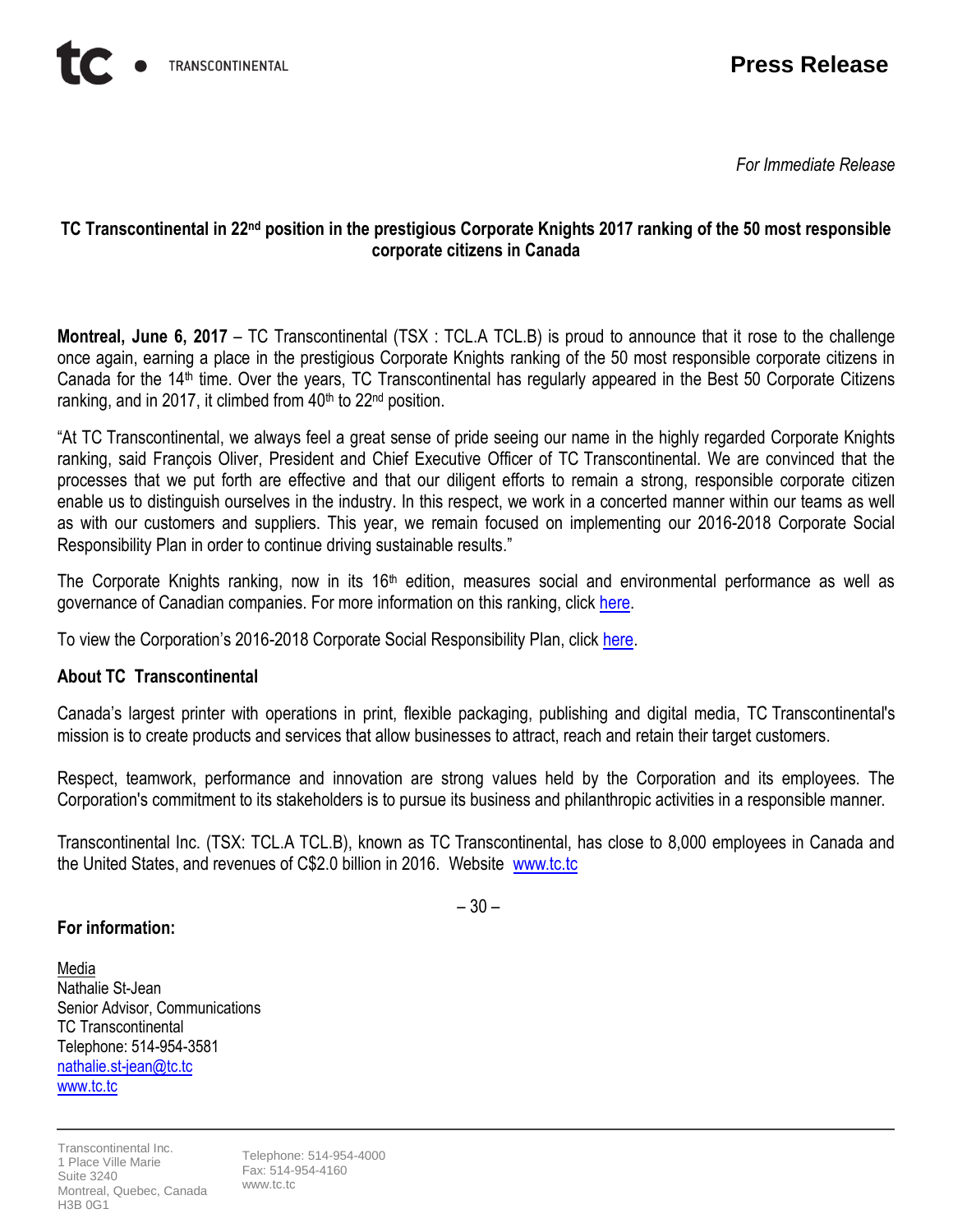*For Immediate Release*

## **TC Transcontinental in 22nd position in the prestigious Corporate Knights 2017 ranking of the 50 most responsible corporate citizens in Canada**

**Montreal, June 6, 2017** – TC Transcontinental (TSX : TCL.A TCL.B) is proud to announce that it rose to the challenge once again, earning a place in the prestigious Corporate Knights ranking of the 50 most responsible corporate citizens in Canada for the  $14<sup>th</sup>$  time. Over the years, TC Transcontinental has regularly appeared in the Best 50 Corporate Citizens ranking, and in 2017, it climbed from  $40<sup>th</sup>$  to  $22<sup>nd</sup>$  position.

"At TC Transcontinental, we always feel a great sense of pride seeing our name in the highly regarded Corporate Knights ranking, said François Oliver, President and Chief Executive Officer of TC Transcontinental. We are convinced that the processes that we put forth are effective and that our diligent efforts to remain a strong, responsible corporate citizen enable us to distinguish ourselves in the industry. In this respect, we work in a concerted manner within our teams as well as with our customers and suppliers. This year, we remain focused on implementing our 2016-2018 Corporate Social Responsibility Plan in order to continue driving sustainable results."

The Corporate Knights ranking, now in its  $16<sup>th</sup>$  edition, measures social and environmental performance as well as governance of Canadian companies. For more information on this ranking, click [here.](http://www.corporateknights.com/magazines/2017-best-50-issue/2017-best-50-results-14967251/)

To view the Corporation's 2016-2018 Corporate Social Responsibility Plan, click [here.](http://tctranscontinental.com/documents/10180/4548192/2016-2018_CSRR_Plan.pdf)

## **About TC Transcontinental**

Canada's largest printer with operations in print, flexible packaging, publishing and digital media, TC Transcontinental's mission is to create products and services that allow businesses to attract, reach and retain their target customers.

Respect, teamwork, performance and innovation are strong values held by the Corporation and its employees. The Corporation's commitment to its stakeholders is to pursue its business and philanthropic activities in a responsible manner.

Transcontinental Inc. (TSX: TCL.A TCL.B), known as TC Transcontinental, has close to 8,000 employees in Canada and the United States, and revenues of C\$2.0 billion in 2016. Website www.tc.tc

## **For information:**

Media Nathalie St-Jean Senior Advisor, Communications TC Transcontinental Telephone: 514-954-3581 [nathalie.st-jean@tc.tc](mailto:nathalie.st-jean@tc.tc) [www.tc.tc](http://www.tc.tc/)

Transcontinental Inc. 1 Place Ville Marie Suite 3240 Montreal, Quebec, Canada H3B 0G1

Telephone: 514-954-4000 Fax: 514-954-4160 www.tc.tc

– 30 –